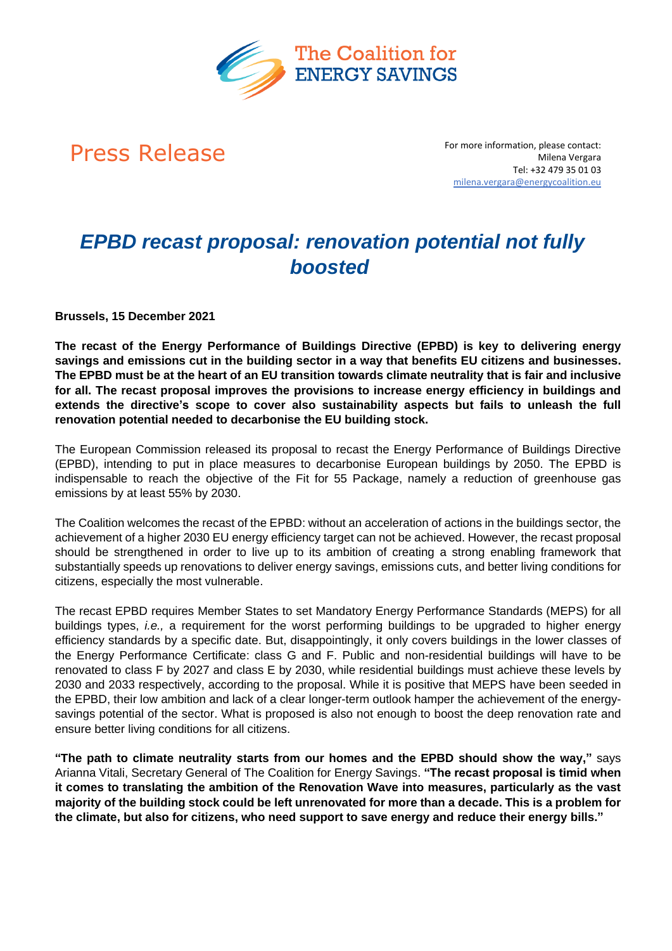

**Press Release** For more information, please contact: Milena Vergara Tel: +32 479 35 01 03 milena.vergara@energycoalition.eu

# *EPBD recast proposal: renovation potential not fully boosted*

**Brussels, 15 December 2021** 

**The recast of the Energy Performance of Buildings Directive (EPBD) is key to delivering energy savings and emissions cut in the building sector in a way that benefits EU citizens and businesses. The EPBD must be at the heart of an EU transition towards climate neutrality that is fair and inclusive for all. The recast proposal improves the provisions to increase energy efficiency in buildings and extends the directive's scope to cover also sustainability aspects but fails to unleash the full renovation potential needed to decarbonise the EU building stock.**

The European Commission released its proposal to recast the Energy Performance of Buildings Directive (EPBD), intending to put in place measures to decarbonise European buildings by 2050. The EPBD is indispensable to reach the objective of the Fit for 55 Package, namely a reduction of greenhouse gas emissions by at least 55% by 2030.

The Coalition welcomes the recast of the EPBD: without an acceleration of actions in the buildings sector, the achievement of a higher 2030 EU energy efficiency target can not be achieved. However, the recast proposal should be strengthened in order to live up to its ambition of creating a strong enabling framework that substantially speeds up renovations to deliver energy savings, emissions cuts, and better living conditions for citizens, especially the most vulnerable.

The recast EPBD requires Member States to set Mandatory Energy Performance Standards (MEPS) for all buildings types, *i.e.,* a requirement for the worst performing buildings to be upgraded to higher energy efficiency standards by a specific date. But, disappointingly, it only covers buildings in the lower classes of the Energy Performance Certificate: class G and F. Public and non-residential buildings will have to be renovated to class F by 2027 and class E by 2030, while residential buildings must achieve these levels by 2030 and 2033 respectively, according to the proposal. While it is positive that MEPS have been seeded in the EPBD, their low ambition and lack of a clear longer-term outlook hamper the achievement of the energysavings potential of the sector. What is proposed is also not enough to boost the deep renovation rate and ensure better living conditions for all citizens.

**"The path to climate neutrality starts from our homes and the EPBD should show the way,"** says Arianna Vitali, Secretary General of The Coalition for Energy Savings. **"The recast proposal is timid when it comes to translating the ambition of the Renovation Wave into measures, particularly as the vast majority of the building stock could be left unrenovated for more than a decade. This is a problem for the climate, but also for citizens, who need support to save energy and reduce their energy bills."**